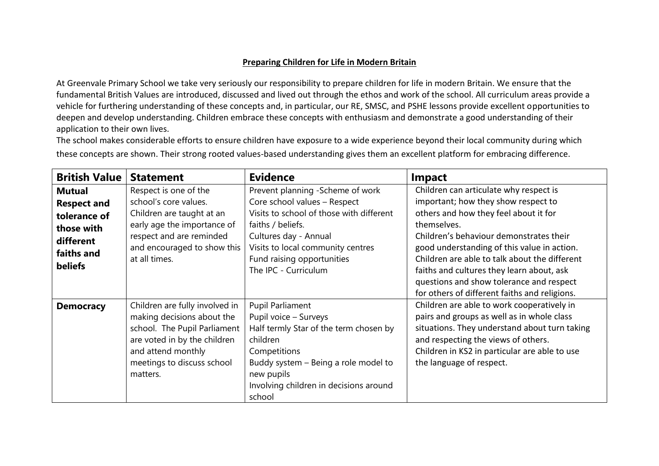## **Preparing Children for Life in Modern Britain**

At Greenvale Primary School we take very seriously our responsibility to prepare children for life in modern Britain. We ensure that the fundamental British Values are introduced, discussed and lived out through the ethos and work of the school. All curriculum areas provide a vehicle for furthering understanding of these concepts and, in particular, our RE, SMSC, and PSHE lessons provide excellent opportunities to deepen and develop understanding. Children embrace these concepts with enthusiasm and demonstrate a good understanding of their application to their own lives.

The school makes considerable efforts to ensure children have exposure to a wide experience beyond their local community during which these concepts are shown. Their strong rooted values-based understanding gives them an excellent platform for embracing difference.

| <b>British Value</b> | <b>Statement</b>               | <b>Evidence</b>                          | <b>Impact</b>                                 |
|----------------------|--------------------------------|------------------------------------------|-----------------------------------------------|
| Mutual               | Respect is one of the          | Prevent planning -Scheme of work         | Children can articulate why respect is        |
| <b>Respect and</b>   | school's core values.          | Core school values - Respect             | important; how they show respect to           |
| tolerance of         | Children are taught at an      | Visits to school of those with different | others and how they feel about it for         |
| those with           | early age the importance of    | faiths / beliefs.                        | themselves.                                   |
| different            | respect and are reminded       | Cultures day - Annual                    | Children's behaviour demonstrates their       |
| faiths and           | and encouraged to show this    | Visits to local community centres        | good understanding of this value in action.   |
| <b>beliefs</b>       | at all times.                  | Fund raising opportunities               | Children are able to talk about the different |
|                      |                                | The IPC - Curriculum                     | faiths and cultures they learn about, ask     |
|                      |                                |                                          | questions and show tolerance and respect      |
|                      |                                |                                          | for others of different faiths and religions. |
| <b>Democracy</b>     | Children are fully involved in | Pupil Parliament                         | Children are able to work cooperatively in    |
|                      | making decisions about the     | Pupil voice - Surveys                    | pairs and groups as well as in whole class    |
|                      | school. The Pupil Parliament   | Half termly Star of the term chosen by   | situations. They understand about turn taking |
|                      | are voted in by the children   | children                                 | and respecting the views of others.           |
|                      | and attend monthly             | Competitions                             | Children in KS2 in particular are able to use |
|                      | meetings to discuss school     | Buddy system - Being a role model to     | the language of respect.                      |
|                      | matters.                       | new pupils                               |                                               |
|                      |                                | Involving children in decisions around   |                                               |
|                      |                                | school                                   |                                               |